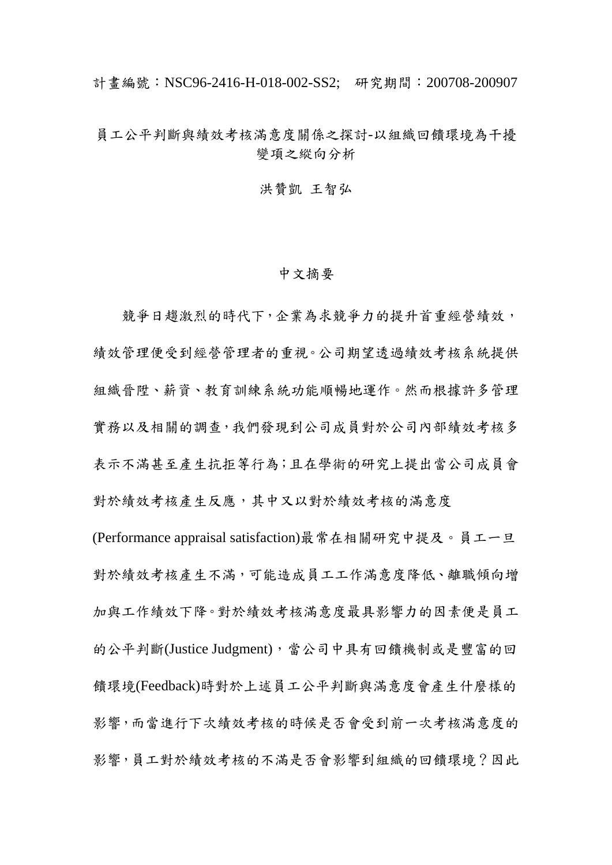計畫編號:NSC96-2416-H-018-002-SS2; 研究期間: 200708-200907

## 員工公平判斷與績效考核滿意度關係之探討-以組織回饋環境為干擾 變項之縱向分析

洪贊凱 王智弘

## 中文摘要

競爭日趨激烈的時代下,企業為求競爭力的提升首重經營績效, 績效管理便受到經營管理者的重視。公司期望透過績效考核系統提供 組織晉陞、薪資、教育訓練系統功能順暢地運作。然而根據許多管理 實務以及相關的調查,我們發現到公司成員對於公司內部績效考核多 表示不滿甚至產生抗拒等行為;且在學術的研究上提出當公司成員會 對於績效考核產核產生反應,其中又以對於績效考核的滿意度

(Performance appraisal satisfaction)最常在相關研究中提及。員工一旦 對於績效考核產生不滿,可能造成員工工作滿意度降低、離職傾向增 加與工作績效下降。對於績效考核滿意度最具影響力的因素便是員工 的公平判斷(Justice Judgment),當公司中具有回饋機制或是豐富的回 饋環境(Feedback)時對於上述員工公平判斷與滿意度會產生什麼樣的 影響,而當進行下次績效考核的時候是否會受到前一次考核滿意度的 影響,員工對於績效考核的不滿是否會影響到組織的回饋環境?因此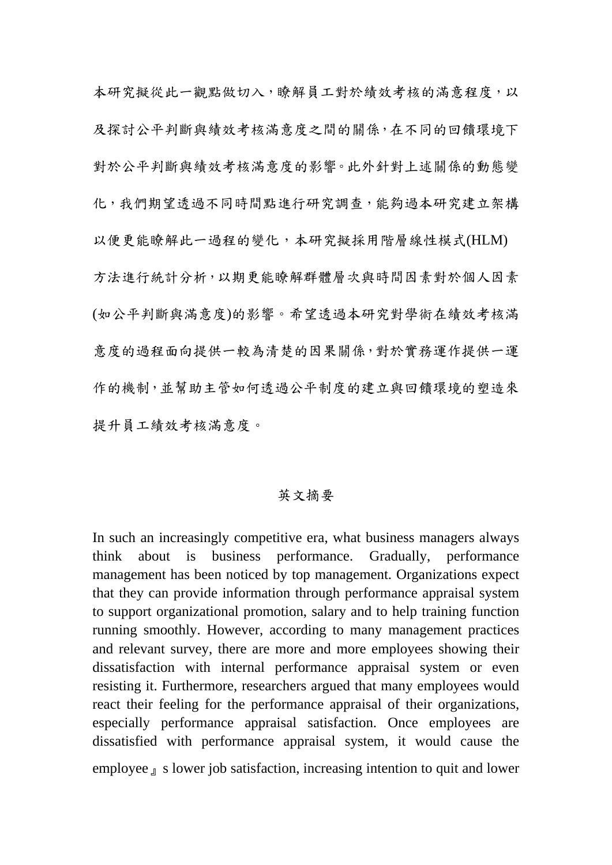本研究擬從此一觀點做切入,瞭解員工對於績效考核的滿意程度,以 及探討公平判斷與績效考核滿意度之間的關係,在不同的回饋環境下 對於公平判斷與績效考核滿意度的影響。此外針對上述關係的動態變 化,我們期望透過不同時間點進行研究調查,能夠過本研究建立架構 以便更能瞭解此一過程的變化,本研究擬採用階層線性模式(HLM) 方法進行統計分析,以期更能瞭解群體層次與時間因素對於個人因素 (如公平判斷與滿意度)的影響。希望透過本研究對學術在績效考核滿 意度的過程面向提供一較為清楚的因果關係,對於實務運作提供一運 作的機制,並幫助主管如何透過公平制度的建立與回饋環境的塑造來 提升員工績效考核滿意度。

## 英文摘要

In such an increasingly competitive era, what business managers always think about is business performance. Gradually, performance management has been noticed by top management. Organizations expect that they can provide information through performance appraisal system to support organizational promotion, salary and to help training function running smoothly. However, according to many management practices and relevant survey, there are more and more employees showing their dissatisfaction with internal performance appraisal system or even resisting it. Furthermore, researchers argued that many employees would react their feeling for the performance appraisal of their organizations, especially performance appraisal satisfaction. Once employees are dissatisfied with performance appraisal system, it would cause the employee <sub>J</sub> s lower job satisfaction, increasing intention to quit and lower